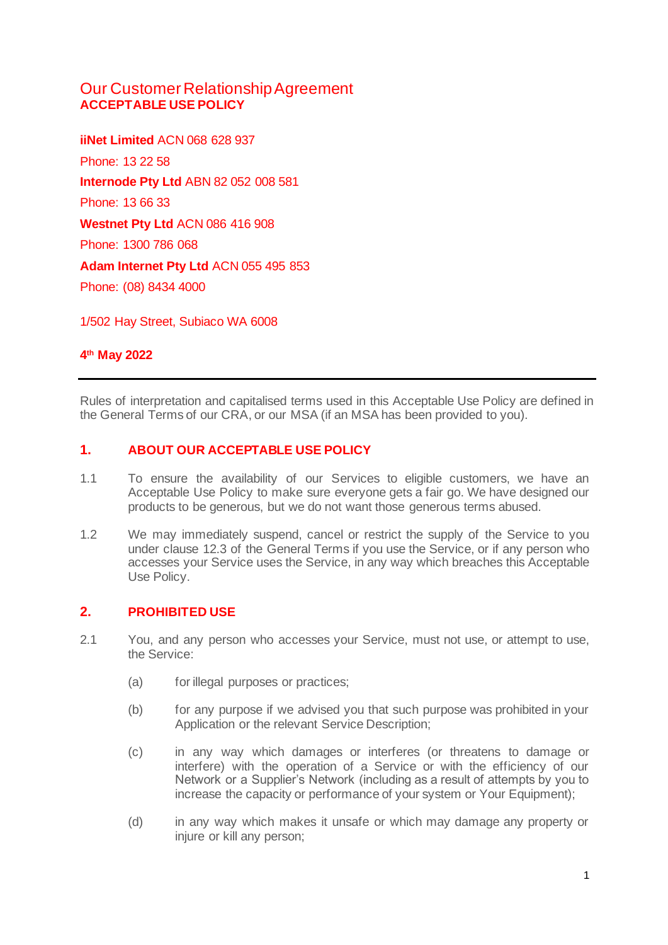# Our Customer Relationship Agreement **ACCEPTABLE USE POLICY**

**iiNet Limited** ACN 068 628 937 Phone: 13 22 58 **Internode Pty Ltd** ABN 82 052 008 581 Phone: 13 66 33 **Westnet Pty Ltd** ACN 086 416 908 Phone: 1300 786 068 **Adam Internet Pty Ltd** ACN 055 495 853 Phone: (08) 8434 4000

1/502 Hay Street, Subiaco WA 6008

# **4 th May 2022**

Rules of interpretation and capitalised terms used in this Acceptable Use Policy are defined in the General Terms of our CRA, or our MSA (if an MSA has been provided to you).

### **1. ABOUT OUR ACCEPTABLE USE POLICY**

- 1.1 To ensure the availability of our Services to eligible customers, we have an Acceptable Use Policy to make sure everyone gets a fair go. We have designed our products to be generous, but we do not want those generous terms abused.
- 1.2 We may immediately suspend, cancel or restrict the supply of the Service to you under clause 12.3 of the General Terms if you use the Service, or if any person who accesses your Service uses the Service, in any way which breaches this Acceptable Use Policy.

### **2. PROHIBITED USE**

- 2.1 You, and any person who accesses your Service, must not use, or attempt to use, the Service:
	- (a) for illegal purposes or practices;
	- (b) for any purpose if we advised you that such purpose was prohibited in your Application or the relevant Service Description;
	- (c) in any way which damages or interferes (or threatens to damage or interfere) with the operation of a Service or with the efficiency of our Network or a Supplier's Network (including as a result of attempts by you to increase the capacity or performance of your system or Your Equipment);
	- (d) in any way which makes it unsafe or which may damage any property or injure or kill any person;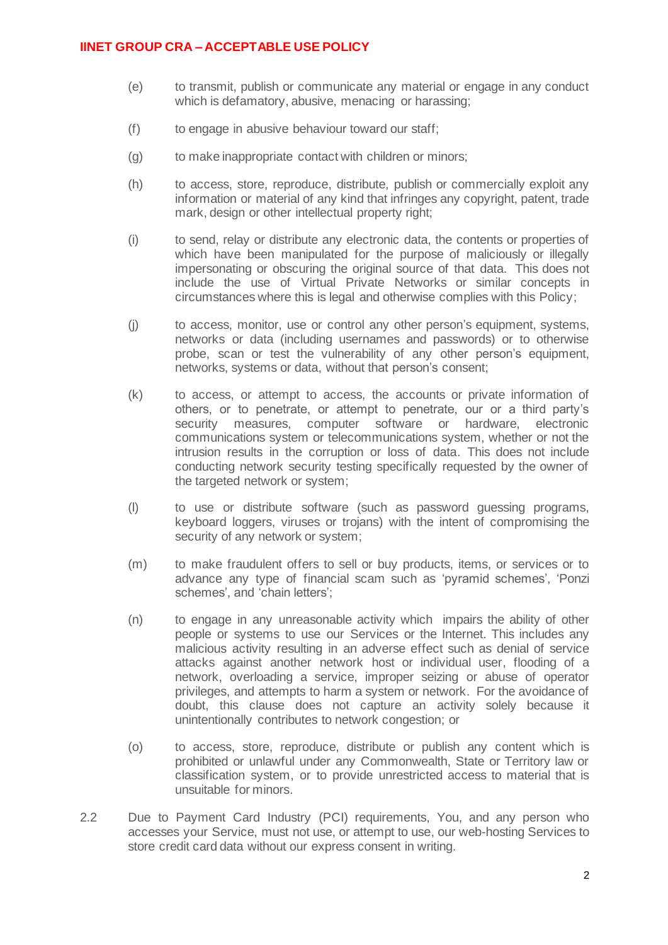### **IINET GROUP CRA – ACCEPTABLE USE POLICY**

- (e) to transmit, publish or communicate any material or engage in any conduct which is defamatory, abusive, menacing or harassing;
- (f) to engage in abusive behaviour toward our staff;
- (g) to make inappropriate contact with children or minors;
- (h) to access, store, reproduce, distribute, publish or commercially exploit any information or material of any kind that infringes any copyright, patent, trade mark, design or other intellectual property right;
- (i) to send, relay or distribute any electronic data, the contents or properties of which have been manipulated for the purpose of maliciously or illegally impersonating or obscuring the original source of that data. This does not include the use of Virtual Private Networks or similar concepts in circumstances where this is legal and otherwise complies with this Policy;
- (j) to access, monitor, use or control any other person's equipment, systems, networks or data (including usernames and passwords) or to otherwise probe, scan or test the vulnerability of any other person's equipment, networks, systems or data, without that person's consent;
- (k) to access, or attempt to access, the accounts or private information of others, or to penetrate, or attempt to penetrate, our or a third party's security measures, computer software or hardware, electronic communications system or telecommunications system, whether or not the intrusion results in the corruption or loss of data. This does not include conducting network security testing specifically requested by the owner of the targeted network or system;
- (l) to use or distribute software (such as password guessing programs, keyboard loggers, viruses or trojans) with the intent of compromising the security of any network or system;
- (m) to make fraudulent offers to sell or buy products, items, or services or to advance any type of financial scam such as 'pyramid schemes', 'Ponzi schemes', and 'chain letters';
- (n) to engage in any unreasonable activity which impairs the ability of other people or systems to use our Services or the Internet. This includes any malicious activity resulting in an adverse effect such as denial of service attacks against another network host or individual user, flooding of a network, overloading a service, improper seizing or abuse of operator privileges, and attempts to harm a system or network. For the avoidance of doubt, this clause does not capture an activity solely because it unintentionally contributes to network congestion; or
- (o) to access, store, reproduce, distribute or publish any content which is prohibited or unlawful under any Commonwealth, State or Territory law or classification system, or to provide unrestricted access to material that is unsuitable for minors.
- 2.2 Due to Payment Card Industry (PCI) requirements, You, and any person who accesses your Service, must not use, or attempt to use, our web-hosting Services to store credit card data without our express consent in writing.